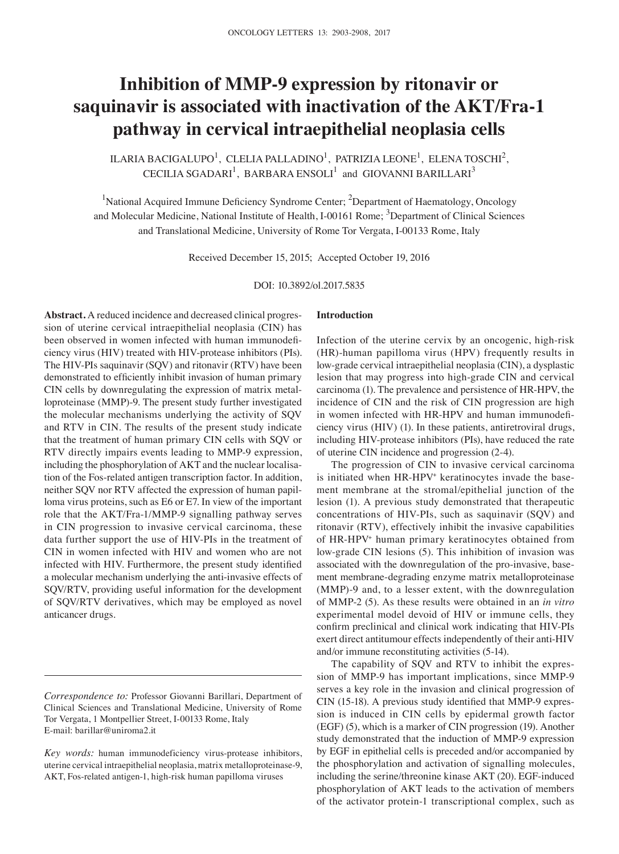# **Inhibition of MMP-9 expression by ritonavir or saquinavir is associated with inactivation of the AKT/Fra-1 pathway in cervical intraepithelial neoplasia cells**

ILARIA BACIGALUPO $^1$ , CLELIA PALLADINO $^1$ , PATRIZIA LEONE $^1$ , ELENA TOSCHI $^2$ , CECILIA SGADARI $^1$ , BARBARA ENSOLI $^1$  and GIOVANNI BARILLARI<sup>3</sup>

<sup>1</sup>National Acquired Immune Deficiency Syndrome Center; <sup>2</sup>Department of Haematology, Oncology and Molecular Medicine, National Institute of Health, I-00161 Rome; <sup>3</sup>Department of Clinical Sciences and Translational Medicine, University of Rome Tor Vergata, I-00133 Rome, Italy

Received December 15, 2015; Accepted October 19, 2016

DOI: 10.3892/ol.2017.5835

**Abstract.** A reduced incidence and decreased clinical progression of uterine cervical intraepithelial neoplasia (CIN) has been observed in women infected with human immunodeficiency virus (HIV) treated with HIV-protease inhibitors (PIs). The HIV-PIs saquinavir (SQV) and ritonavir (RTV) have been demonstrated to efficiently inhibit invasion of human primary CIN cells by downregulating the expression of matrix metalloproteinase (MMP)-9. The present study further investigated the molecular mechanisms underlying the activity of SQV and RTV in CIN. The results of the present study indicate that the treatment of human primary CIN cells with SQV or RTV directly impairs events leading to MMP-9 expression, including the phosphorylation of AKT and the nuclear localisation of the Fos-related antigen transcription factor. In addition, neither SQV nor RTV affected the expression of human papilloma virus proteins, such as E6 or E7. In view of the important role that the AKT/Fra-1/MMP-9 signalling pathway serves in CIN progression to invasive cervical carcinoma, these data further support the use of HIV-PIs in the treatment of CIN in women infected with HIV and women who are not infected with HIV. Furthermore, the present study identified a molecular mechanism underlying the anti-invasive effects of SQV/RTV, providing useful information for the development of SQV/RTV derivatives, which may be employed as novel anticancer drugs.

#### **Introduction**

Infection of the uterine cervix by an oncogenic, high-risk (HR)-human papilloma virus (HPV) frequently results in low-grade cervical intraepithelial neoplasia (CIN), a dysplastic lesion that may progress into high-grade CIN and cervical carcinoma (1). The prevalence and persistence of HR-HPV, the incidence of CIN and the risk of CIN progression are high in women infected with HR‑HPV and human immunodeficiency virus (HIV) (1). In these patients, antiretroviral drugs, including HIV-protease inhibitors (PIs), have reduced the rate of uterine CIN incidence and progression (2-4).

The progression of CIN to invasive cervical carcinoma is initiated when HR-HPV<sup>+</sup> keratinocytes invade the basement membrane at the stromal/epithelial junction of the lesion (1). A previous study demonstrated that therapeutic concentrations of HIV-PIs, such as saquinavir (SQV) and ritonavir (RTV), effectively inhibit the invasive capabilities of HR-HPV+ human primary keratinocytes obtained from low-grade CIN lesions (5). This inhibition of invasion was associated with the downregulation of the pro-invasive, basement membrane-degrading enzyme matrix metalloproteinase (MMP)-9 and, to a lesser extent, with the downregulation of MMP-2 (5). As these results were obtained in an *in vitro* experimental model devoid of HIV or immune cells, they confirm preclinical and clinical work indicating that HIV‑PIs exert direct antitumour effects independently of their anti-HIV and/or immune reconstituting activities (5-14).

The capability of SQV and RTV to inhibit the expression of MMP-9 has important implications, since MMP-9 serves a key role in the invasion and clinical progression of CIN (15-18). A previous study identified that MMP‑9 expression is induced in CIN cells by epidermal growth factor (EGF) (5), which is a marker of CIN progression (19). Another study demonstrated that the induction of MMP-9 expression by EGF in epithelial cells is preceded and/or accompanied by the phosphorylation and activation of signalling molecules, including the serine/threonine kinase AKT (20). EGF-induced phosphorylation of AKT leads to the activation of members of the activator protein-1 transcriptional complex, such as

*Correspondence to:* Professor Giovanni Barillari, Department of Clinical Sciences and Translational Medicine, University of Rome Tor Vergata, 1 Montpellier Street, I-00133 Rome, Italy E-mail: barillar@uniroma2.it

*Key words:* human immunodeficiency virus-protease inhibitors, uterine cervical intraepithelial neoplasia, matrix metalloproteinase-9, AKT, Fos-related antigen-1, high-risk human papilloma viruses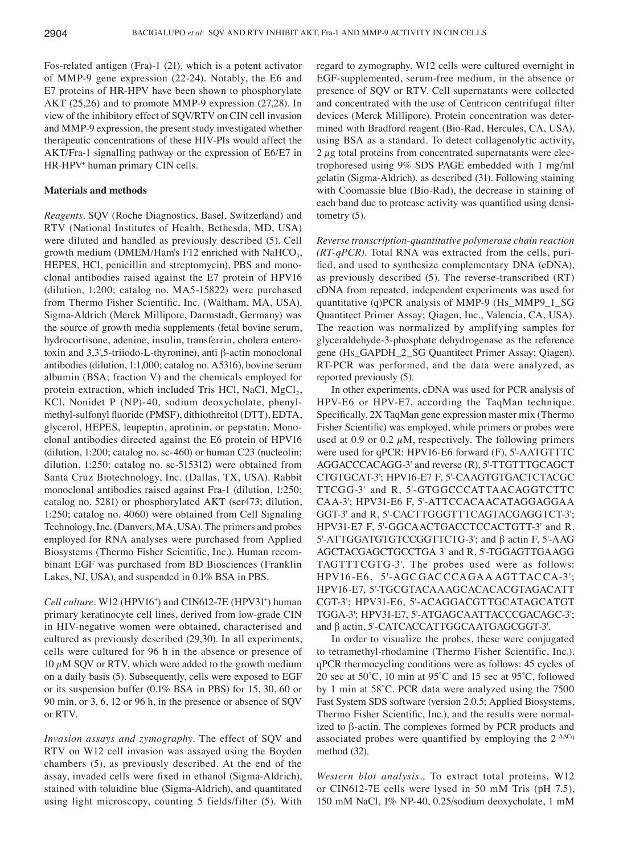Fos-related antigen (Fra)-1 (21), which is a potent activator of MMP-9 gene expression (22-24). Notably, the E6 and E7 proteins of HR-HPV have been shown to phosphorylate AKT (25,26) and to promote MMP-9 expression (27,28). In view of the inhibitory effect of SQV/RTV on CIN cell invasion and MMP-9 expression, the present study investigated whether therapeutic concentrations of these HIV-PIs would affect the AKT/Fra-1 signalling pathway or the expression of E6/E7 in HR-HPV+ human primary CIN cells.

## **Materials and methods**

*Reagents.* SQV (Roche Diagnostics, Basel, Switzerland) and RTV (National Institutes of Health, Bethesda, MD, USA) were diluted and handled as previously described (5). Cell growth medium (DMEM/Ham's F12 enriched with NaHCO<sub>3</sub>, HEPES, HCl, penicillin and streptomycin), PBS and monoclonal antibodies raised against the E7 protein of HPV16 (dilution, 1:200; catalog no. MA5‑15822) were purchased from Thermo Fisher Scientific, Inc. (Waltham, MA, USA). Sigma-Aldrich (Merck Millipore, Darmstadt, Germany) was the source of growth media supplements (fetal bovine serum, hydrocortisone, adenine, insulin, transferrin, cholera enterotoxin and 3,3',5-triiodo-L-thyronine), anti β-actin monoclonal antibodies (dilution, 1:1,000; catalog no. A5316), bovine serum albumin (BSA; fraction V) and the chemicals employed for protein extraction, which included Tris HCl, NaCl,  $MgCl<sub>2</sub>$ , KCl, Nonidet P (NP)-40, sodium deoxycholate, phenylmethyl-sulfonyl fluoride (PMSF), dithiothreitol (DTT), EDTA, glycerol, HEPES, leupeptin, aprotinin, or pepstatin. Monoclonal antibodies directed against the E6 protein of HPV16 (dilution, 1:200; catalog no. sc $-460$ ) or human C23 (nucleolin; dilution, 1:250; catalog no. sc‑515312) were obtained from Santa Cruz Biotechnology, Inc. (Dallas, TX, USA). Rabbit monoclonal antibodies raised against Fra-1 (dilution, 1:250; catalog no. 5281) or phosphorylated AKT (ser473; dilution, 1:250; catalog no. 4060) were obtained from Cell Signaling Technology, Inc. (Danvers, MA, USA). The primers and probes employed for RNA analyses were purchased from Applied Biosystems (Thermo Fisher Scientific, Inc.). Human recombinant EGF was purchased from BD Biosciences (Franklin Lakes, NJ, USA), and suspended in 0.1% BSA in PBS.

Cell culture. W12 (HPV16<sup>+</sup>) and CIN612-7E (HPV31<sup>+</sup>) human primary keratinocyte cell lines, derived from low-grade CIN in HIV-negative women were obtained, characterised and cultured as previously described (29,30). In all experiments, cells were cultured for 96 h in the absence or presence of 10  $\mu$ M SQV or RTV, which were added to the growth medium on a daily basis (5). Subsequently, cells were exposed to EGF or its suspension buffer (0.1% BSA in PBS) for 15, 30, 60 or 90 min, or 3, 6, 12 or 96 h, in the presence or absence of SQV or RTV.

*Invasion assays and zymography.* The effect of SQV and RTV on W12 cell invasion was assayed using the Boyden chambers (5), as previously described. At the end of the assay, invaded cells were fixed in ethanol (Sigma‑Aldrich), stained with toluidine blue (Sigma-Aldrich), and quantitated using light microscopy, counting 5 fields/filter (5). With regard to zymography, W12 cells were cultured overnight in EGF-supplemented, serum-free medium, in the absence or presence of SQV or RTV. Cell supernatants were collected and concentrated with the use of Centricon centrifugal filter devices (Merck Millipore). Protein concentration was determined with Bradford reagent (Bio-Rad, Hercules, CA, USA), using BSA as a standard. To detect collagenolytic activity,  $2 \mu$ g total proteins from concentrated supernatants were electrophoresed using 9% SDS PAGE embedded with 1 mg/ml gelatin (Sigma-Aldrich), as described (31). Following staining with Coomassie blue (Bio-Rad), the decrease in staining of each band due to protease activity was quantified using densitometry (5).

*Reverse transcription‑quantitative polymerase chain reaction (RT‑qPCR).* Total RNA was extracted from the cells, purified, and used to synthesize complementary DNA (cDNA), as previously described (5). The reverse-transcribed (RT) cDNA from repeated, independent experiments was used for quantitative (q)PCR analysis of MMP-9 (Hs\_MMP9\_1\_SG Quantitect Primer Assay; Qiagen, Inc., Valencia, CA, USA). The reaction was normalized by amplifying samples for glyceraldehyde-3-phosphate dehydrogenase as the reference gene (Hs\_GAPDH\_2\_SG Quantitect Primer Assay; Qiagen). RT-PCR was performed, and the data were analyzed, as reported previously (5).

In other experiments, cDNA was used for PCR analysis of HPV-E6 or HPV-E7, according the TaqMan technique. Specifically, 2X TaqMan gene expression master mix (Thermo Fisher Scientific) was employed, while primers or probes were used at 0.9 or 0.2  $\mu$ M, respectively. The following primers were used for qPCR: HPV16-E6 forward (F), 5'-AATGTTTC AGGACCCACAGG-3' and reverse (R), 5'-TTGTTTGCAGCT CTGTGCAT‑3'; HPV16‑E7 F, 5'‑CAAGTGTGACTCTACGC TTCGG-3' and R, 5'-GTGGCCCATTAACAGGTCTTC CAA‑3'; HPV31‑E6 F, 5'‑ATTCCACAACATAGGAGGAA GGT-3' and R, 5'-CACTTGGGTTTCAGTACGAGGTCT-3'; HPV31-E7 F, 5'-GGCAACTGACCTCCACTGTT-3' and R, 5'‑ATTGGATGTGTCCGGTTCTG‑3'; and β actin F, 5'-AAG AGCTACGAGCTGCCTGA 3' and R, 5'-TGGAGTTGAAGG TAGTTTCGTG-3'. The probes used were as follows: HPV16‑E6, 5'‑AGC GAC CCAGAA AGT TAC CA‑3'; HPV16-E7, 5'-TGCGTACAAAGCACACACGTAGACATT CGT‑3'; HPV31‑E6, 5'‑ACAGGACGTTGCATAGCATGT TGGA‑3'; HPV31‑E7, 5'‑ATGAGCAATTACCCGACAGC‑3'; and β actin, 5'-CATCACCATTGGCAATGAGCGGT-3'.

In order to visualize the probes, these were conjugated to tetramethyl-rhodamine (Thermo Fisher Scientific, Inc.). qPCR thermocycling conditions were as follows: 45 cycles of 20 sec at 50˚C, 10 min at 95˚C and 15 sec at 95˚C, followed by 1 min at 58˚C. PCR data were analyzed using the 7500 Fast System SDS software (version 2.0.5; Applied Biosystems, Thermo Fisher Scientific, Inc.), and the results were normalized to β-actin. The complexes formed by PCR products and associated probes were quantified by employing the 2‑∆∆Cq method (32).

*Western blot analysis.,* To extract total proteins, W12 or CIN612-7E cells were lysed in 50 mM Tris (pH 7.5), 150 mM NaCl, 1% NP-40, 0.25/sodium deoxycholate, 1 mM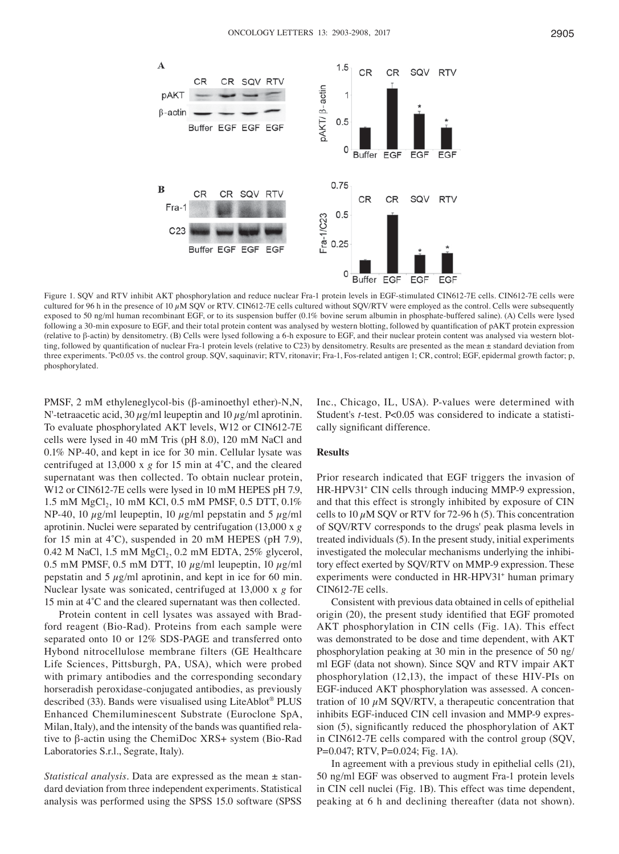

Figure 1. SQV and RTV inhibit AKT phosphorylation and reduce nuclear Fra-1 protein levels in EGF-stimulated CIN612-7E cells. CIN612-7E cells were cultured for 96 h in the presence of 10  $\mu$ M SQV or RTV. CIN612-7E cells cultured without SQV/RTV were employed as the control. Cells were subsequently exposed to 50 ng/ml human recombinant EGF, or to its suspension buffer (0.1% bovine serum albumin in phosphate-buffered saline). (A) Cells were lysed following a 30‑min exposure to EGF, and their total protein content was analysed by western blotting, followed by quantification of pAKT protein expression (relative to β-actin) by densitometry. (B) Cells were lysed following a 6-h exposure to EGF, and their nuclear protein content was analysed via western blotting, followed by quantification of nuclear Fra-1 protein levels (relative to C23) by densitometry. Results are presented as the mean  $\pm$  standard deviation from three experiments. \*P<0.05 vs. the control group. SQV, saquinavir; RTV, ritonavir; Fra-1, Fos-related antigen 1; CR, control; EGF, epidermal growth factor; p, phosphorylated.

PMSF, 2 mM ethyleneglycol-bis (β-aminoethyl ether)-N,N, N'-tetraacetic acid, 30  $\mu$ g/ml leupeptin and 10  $\mu$ g/ml aprotinin. To evaluate phosphorylated AKT levels, W12 or CIN612-7E cells were lysed in 40 mM Tris (pH 8.0), 120 mM NaCl and 0.1% NP-40, and kept in ice for 30 min. Cellular lysate was centrifuged at 13,000 x *g* for 15 min at 4˚C, and the cleared supernatant was then collected. To obtain nuclear protein, W12 or CIN612-7E cells were lysed in 10 mM HEPES pH 7.9, 1.5 mM MgCl<sub>2</sub>, 10 mM KCl, 0.5 mM PMSF, 0.5 DTT, 0.1% NP-40, 10  $\mu$ g/ml leupeptin, 10  $\mu$ g/ml pepstatin and 5  $\mu$ g/ml aprotinin. Nuclei were separated by centrifugation (13,000 x *g* for 15 min at 4˚C), suspended in 20 mM HEPES (pH 7.9), 0.42 M NaCl,  $1.5 \text{ mM } MgCl_2$ , 0.2 mM EDTA,  $25\%$  glycerol, 0.5 mM PMSF, 0.5 mM DTT, 10  $\mu$ g/ml leupeptin, 10  $\mu$ g/ml pepstatin and  $5 \mu g/ml$  aprotinin, and kept in ice for 60 min. Nuclear lysate was sonicated, centrifuged at 13,000 x *g* for 15 min at 4˚C and the cleared supernatant was then collected.

Protein content in cell lysates was assayed with Bradford reagent (Bio-Rad). Proteins from each sample were separated onto 10 or 12% SDS-PAGE and transferred onto Hybond nitrocellulose membrane filters (GE Healthcare Life Sciences, Pittsburgh, PA, USA), which were probed with primary antibodies and the corresponding secondary horseradish peroxidase-conjugated antibodies, as previously described (33). Bands were visualised using LiteAblot® PLUS Enhanced Chemiluminescent Substrate (Euroclone SpA, Milan, Italy), and the intensity of the bands was quantified relative to β-actin using the ChemiDoc XRS+ system (Bio-Rad Laboratories S.r.l., Segrate, Italy).

*Statistical analysis.* Data are expressed as the mean ± standard deviation from three independent experiments. Statistical analysis was performed using the SPSS 15.0 software (SPSS Inc., Chicago, IL, USA). P-values were determined with Student's *t*-test. P<0.05 was considered to indicate a statistically significant difference.

### **Results**

Prior research indicated that EGF triggers the invasion of HR-HPV31+ CIN cells through inducing MMP-9 expression, and that this effect is strongly inhibited by exposure of CIN cells to 10  $\mu$ M SQV or RTV for 72-96 h (5). This concentration of SQV/RTV corresponds to the drugs' peak plasma levels in treated individuals (5). In the present study, initial experiments investigated the molecular mechanisms underlying the inhibitory effect exerted by SQV/RTV on MMP-9 expression. These experiments were conducted in HR-HPV31<sup>+</sup> human primary CIN612-7E cells.

Consistent with previous data obtained in cells of epithelial origin (20), the present study identified that EGF promoted AKT phosphorylation in CIN cells (Fig. 1A). This effect was demonstrated to be dose and time dependent, with AKT phosphorylation peaking at 30 min in the presence of 50 ng/ ml EGF (data not shown). Since SQV and RTV impair AKT phosphorylation (12,13), the impact of these HIV-PIs on EGF-induced AKT phosphorylation was assessed. A concentration of 10  $\mu$ M SQV/RTV, a therapeutic concentration that inhibits EGF-induced CIN cell invasion and MMP-9 expression (5), significantly reduced the phosphorylation of AKT in CIN612-7E cells compared with the control group (SQV, P=0.047; RTV, P=0.024; Fig. 1A).

In agreement with a previous study in epithelial cells (21), 50 ng/ml EGF was observed to augment Fra-1 protein levels in CIN cell nuclei (Fig. 1B). This effect was time dependent, peaking at 6 h and declining thereafter (data not shown).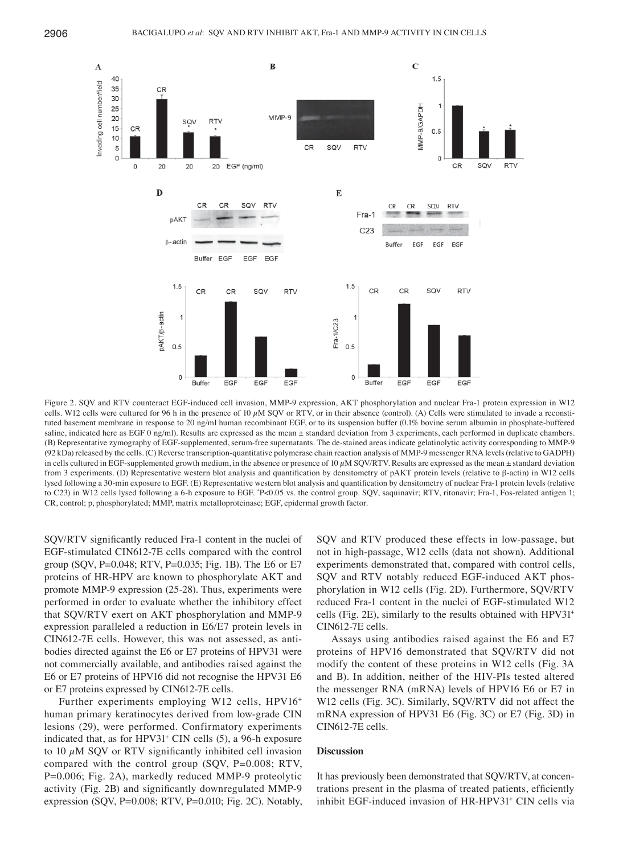

Figure 2. SQV and RTV counteract EGF-induced cell invasion, MMP-9 expression, AKT phosphorylation and nuclear Fra-1 protein expression in W12 cells. W12 cells were cultured for 96 h in the presence of 10  $\mu$ M SOV or RTV, or in their absence (control). (A) Cells were stimulated to invade a reconstituted basement membrane in response to 20 ng/ml human recombinant EGF, or to its suspension buffer (0.1% bovine serum albumin in phosphate-buffered saline, indicated here as EGF 0 ng/ml). Results are expressed as the mean ± standard deviation from 3 experiments, each performed in duplicate chambers. (B) Representative zymography of EGF-supplemented, serum-free supernatants. The de-stained areas indicate gelatinolytic activity corresponding to MMP-9 (92 kDa) released by the cells. (C) Reverse transcription-quantitative polymerase chain reaction analysis of MMP-9 messenger RNA levels (relative to GADPH) in cells cultured in EGF-supplemented growth medium, in the absence or presence of  $10 \mu$ M SQV/RTV. Results are expressed as the mean  $\pm$  standard deviation from 3 experiments. (D) Representative western blot analysis and quantification by densitometry of pAKT protein levels (relative to β‑actin) in W12 cells lysed following a 30‑min exposure to EGF. (E) Representative western blot analysis and quantification by densitometry of nuclear Fra‑1 protein levels (relative to C23) in W12 cells lysed following a 6-h exposure to EGF. "P<0.05 vs. the control group. SQV, saquinavir; RTV, ritonavir; Fra-1, Fos-related antigen 1; CR, control; p, phosphorylated; MMP, matrix metalloproteinase; EGF, epidermal growth factor.

SQV/RTV significantly reduced Fra-1 content in the nuclei of EGF-stimulated CIN612-7E cells compared with the control group (SQV, P=0.048; RTV, P=0.035; Fig. 1B). The E6 or E7 proteins of HR-HPV are known to phosphorylate AKT and promote MMP-9 expression (25-28). Thus, experiments were performed in order to evaluate whether the inhibitory effect that SQV/RTV exert on AKT phosphorylation and MMP-9 expression paralleled a reduction in E6/E7 protein levels in CIN612-7E cells. However, this was not assessed, as antibodies directed against the E6 or E7 proteins of HPV31 were not commercially available, and antibodies raised against the E6 or E7 proteins of HPV16 did not recognise the HPV31 E6 or E7 proteins expressed by CIN612-7E cells.

Further experiments employing W12 cells, HPV16<sup>+</sup> human primary keratinocytes derived from low-grade CIN lesions (29), were performed. Confirmatory experiments indicated that, as for HPV31+ CIN cells (5), a 96-h exposure to 10  $\mu$ M SQV or RTV significantly inhibited cell invasion compared with the control group (SQV, P=0.008; RTV, P=0.006; Fig. 2A), markedly reduced MMP-9 proteolytic activity (Fig. 2B) and significantly downregulated MMP‑9 expression (SQV, P=0.008; RTV, P=0.010; Fig. 2C). Notably,

SQV and RTV produced these effects in low-passage, but not in high-passage, W12 cells (data not shown). Additional experiments demonstrated that, compared with control cells, SQV and RTV notably reduced EGF-induced AKT phosphorylation in W12 cells (Fig. 2D). Furthermore, SQV/RTV reduced Fra‑1 content in the nuclei of EGF‑stimulated W12 cells (Fig. 2E), similarly to the results obtained with HPV31+ CIN612-7E cells.

Assays using antibodies raised against the E6 and E7 proteins of HPV16 demonstrated that SQV/RTV did not modify the content of these proteins in W12 cells (Fig. 3A and B). In addition, neither of the HIV-PIs tested altered the messenger RNA (mRNA) levels of HPV16 E6 or E7 in W12 cells (Fig. 3C). Similarly, SQV/RTV did not affect the mRNA expression of HPV31 E6 (Fig. 3C) or E7 (Fig. 3D) in CIN612-7E cells.

## **Discussion**

It has previously been demonstrated that SQV/RTV, at concentrations present in the plasma of treated patients, efficiently inhibit EGF-induced invasion of HR-HPV31+ CIN cells via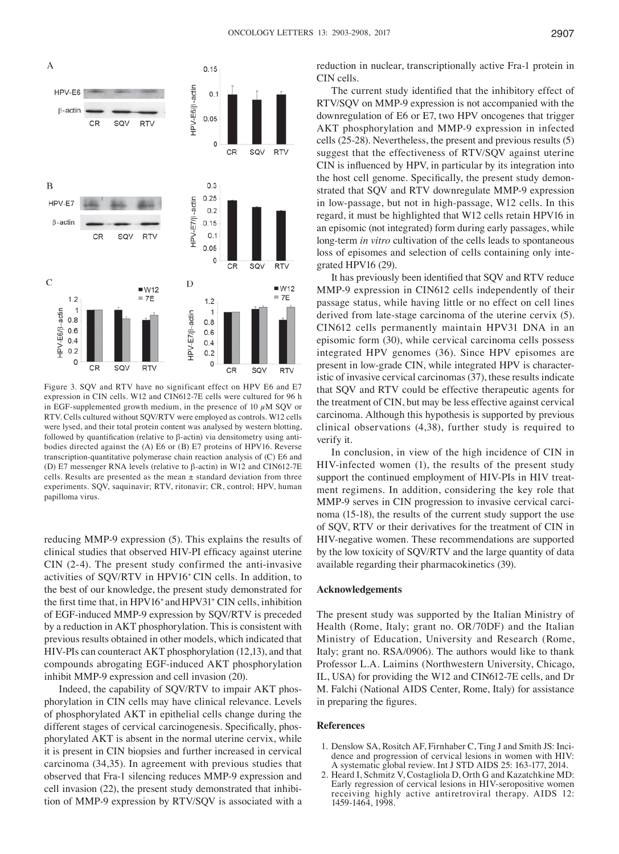

Figure 3. SQV and RTV have no significant effect on HPV E6 and E7 expression in CIN cells. W12 and CIN612‑7E cells were cultured for 96 h in EGF-supplemented growth medium, in the presence of 10  $\mu$ M SQV or RTV. Cells cultured without SQV/RTV were employed as controls. W12 cells were lysed, and their total protein content was analysed by western blotting, followed by quantification (relative to β-actin) via densitometry using antibodies directed against the (A) E6 or (B) E7 proteins of HPV16. Reverse transcription-quantitative polymerase chain reaction analysis of (C) E6 and (D) E7 messenger RNA levels (relative to β-actin) in W12 and CIN612-7E cells. Results are presented as the mean  $\pm$  standard deviation from three experiments. SQV, saquinavir; RTV, ritonavir; CR, control; HPV, human papilloma virus.

reducing MMP-9 expression (5). This explains the results of clinical studies that observed HIV‑PI efficacy against uterine CIN (2-4). The present study confirmed the anti-invasive activities of SQV/RTV in HPV16+ CIN cells. In addition, to the best of our knowledge, the present study demonstrated for the first time that, in HPV16<sup>+</sup> and HPV31<sup>+</sup> CIN cells, inhibition of EGF-induced MMP-9 expression by SQV/RTV is preceded by a reduction in AKT phosphorylation. This is consistent with previous results obtained in other models, which indicated that HIV-PIs can counteract AKT phosphorylation (12,13), and that compounds abrogating EGF-induced AKT phosphorylation inhibit MMP-9 expression and cell invasion (20).

Indeed, the capability of SQV/RTV to impair AKT phosphorylation in CIN cells may have clinical relevance. Levels of phosphorylated AKT in epithelial cells change during the different stages of cervical carcinogenesis. Specifically, phosphorylated AKT is absent in the normal uterine cervix, while it is present in CIN biopsies and further increased in cervical carcinoma (34,35). In agreement with previous studies that observed that Fra-1 silencing reduces MMP-9 expression and cell invasion (22), the present study demonstrated that inhibition of MMP-9 expression by RTV/SQV is associated with a reduction in nuclear, transcriptionally active Fra-1 protein in CIN cells.

The current study identified that the inhibitory effect of RTV/SQV on MMP-9 expression is not accompanied with the downregulation of E6 or E7, two HPV oncogenes that trigger AKT phosphorylation and MMP-9 expression in infected cells (25-28). Nevertheless, the present and previous results (5) suggest that the effectiveness of RTV/SQV against uterine CIN is influenced by HPV, in particular by its integration into the host cell genome. Specifically, the present study demonstrated that SQV and RTV downregulate MMP-9 expression in low-passage, but not in high-passage, W12 cells. In this regard, it must be highlighted that W12 cells retain HPV16 in an episomic (not integrated) form during early passages, while long-term *in vitro* cultivation of the cells leads to spontaneous loss of episomes and selection of cells containing only integrated HPV16 (29).

It has previously been identified that SQV and RTV reduce MMP-9 expression in CIN612 cells independently of their passage status, while having little or no effect on cell lines derived from late-stage carcinoma of the uterine cervix (5). CIN612 cells permanently maintain HPV31 DNA in an episomic form (30), while cervical carcinoma cells possess integrated HPV genomes (36). Since HPV episomes are present in low-grade CIN, while integrated HPV is characteristic of invasive cervical carcinomas (37), these results indicate that SQV and RTV could be effective therapeutic agents for the treatment of CIN, but may be less effective against cervical carcinoma. Although this hypothesis is supported by previous clinical observations (4,38), further study is required to verify it.

In conclusion, in view of the high incidence of CIN in HIV-infected women (1), the results of the present study support the continued employment of HIV-PIs in HIV treatment regimens. In addition, considering the key role that MMP-9 serves in CIN progression to invasive cervical carcinoma (15-18), the results of the current study support the use of SQV, RTV or their derivatives for the treatment of CIN in HIV-negative women. These recommendations are supported by the low toxicity of SQV/RTV and the large quantity of data available regarding their pharmacokinetics (39).

## **Acknowledgements**

The present study was supported by the Italian Ministry of Health (Rome, Italy; grant no. OR/70DF) and the Italian Ministry of Education, University and Research (Rome, Italy; grant no. RSA/0906). The authors would like to thank Professor L.A. Laimins (Northwestern University, Chicago, IL, USA) for providing the W12 and CIN612‑7E cells, and Dr M. Falchi (National AIDS Center, Rome, Italy) for assistance in preparing the figures.

## **References**

- 1. Denslow SA, Rositch AF, Firnhaber C, Ting J and Smith JS: Incidence and progression of cervical lesions in women with HIV: A systematic global review. Int J STD AIDS 25: 163-177, 2014.
- 2. Heard I, Schmitz V, Costagliola D, Orth G and Kazatchkine MD: Early regression of cervical lesions in HIV-seropositive women receiving highly active antiretroviral therapy. AIDS 12: 1459-1464, 1998.